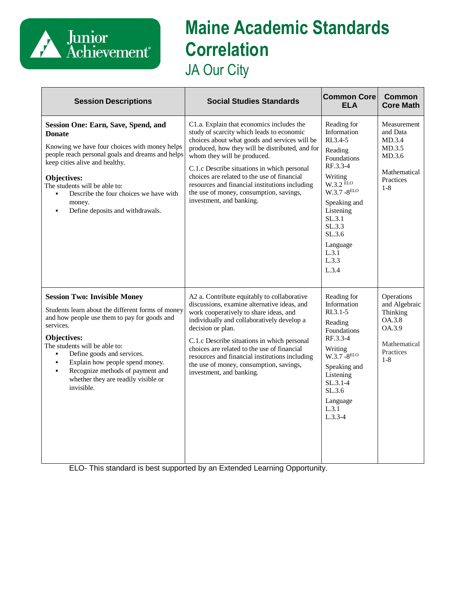

## **Maine Academic Standards Correlation** JA Our City

| <b>Session Descriptions</b>                                                                                                                                                                                                                                                                                                                                                                         | <b>Social Studies Standards</b>                                                                                                                                                                                                                                                                                                                                                                                                                  | <b>Common Core</b><br><b>ELA</b>                                                                                                                                                                                             | <b>Common</b><br><b>Core Math</b>                                                                   |
|-----------------------------------------------------------------------------------------------------------------------------------------------------------------------------------------------------------------------------------------------------------------------------------------------------------------------------------------------------------------------------------------------------|--------------------------------------------------------------------------------------------------------------------------------------------------------------------------------------------------------------------------------------------------------------------------------------------------------------------------------------------------------------------------------------------------------------------------------------------------|------------------------------------------------------------------------------------------------------------------------------------------------------------------------------------------------------------------------------|-----------------------------------------------------------------------------------------------------|
| Session One: Earn, Save, Spend, and<br><b>Donate</b><br>Knowing we have four choices with money helps<br>people reach personal goals and dreams and helps<br>keep cities alive and healthy.<br>Objectives:<br>The students will be able to:<br>Describe the four choices we have with<br>money.<br>Define deposits and withdrawals.                                                                 | C1.a. Explain that economics includes the<br>study of scarcity which leads to economic<br>choices about what goods and services will be<br>produced, how they will be distributed, and for<br>whom they will be produced.<br>C.1.c Describe situations in which personal<br>choices are related to the use of financial<br>resources and financial institutions including<br>the use of money, consumption, savings,<br>investment, and banking. | Reading for<br>Information<br>RL3.4-5<br>Reading<br>Foundations<br>RF.3.3-4<br>Writing<br>$W.3.2$ ELO<br>$W.3.7 - 8^{ELO}$<br>Speaking and<br>Listening<br>SL.3.1<br>SL.3.3<br>SL.3.6<br>Language<br>L.3.1<br>L.3.3<br>L.3.4 | Measurement<br>and Data<br>MD.3.4<br>MD.3.5<br>MD.3.6<br>Mathematical<br>Practices<br>$1 - 8$       |
| <b>Session Two: Invisible Money</b><br>Students learn about the different forms of money<br>and how people use them to pay for goods and<br>services.<br>Objectives:<br>The students will be able to:<br>Define goods and services.<br>Explain how people spend money.<br>$\blacksquare$<br>Recognize methods of payment and<br>$\blacksquare$<br>whether they are readily visible or<br>invisible. | A2 a. Contribute equitably to collaborative<br>discussions, examine alternative ideas, and<br>work cooperatively to share ideas, and<br>individually and collaboratively develop a<br>decision or plan.<br>C.1.c Describe situations in which personal<br>choices are related to the use of financial<br>resources and financial institutions including<br>the use of money, consumption, savings,<br>investment, and banking.                   | Reading for<br>Information<br>$R1.3.1-5$<br>Reading<br>Foundations<br>RF.3.3-4<br>Writing<br>$W.3.7 - 8ELO$<br>Speaking and<br>Listening<br>$SL.3.1-4$<br>SL.3.6<br>Language<br>L.3.1<br>$L.3.3-4$                           | Operations<br>and Algebraic<br>Thinking<br>OA.3.8<br>OA.3.9<br>Mathematical<br>Practices<br>$1 - 8$ |

ELO- This standard is best supported by an Extended Learning Opportunity.